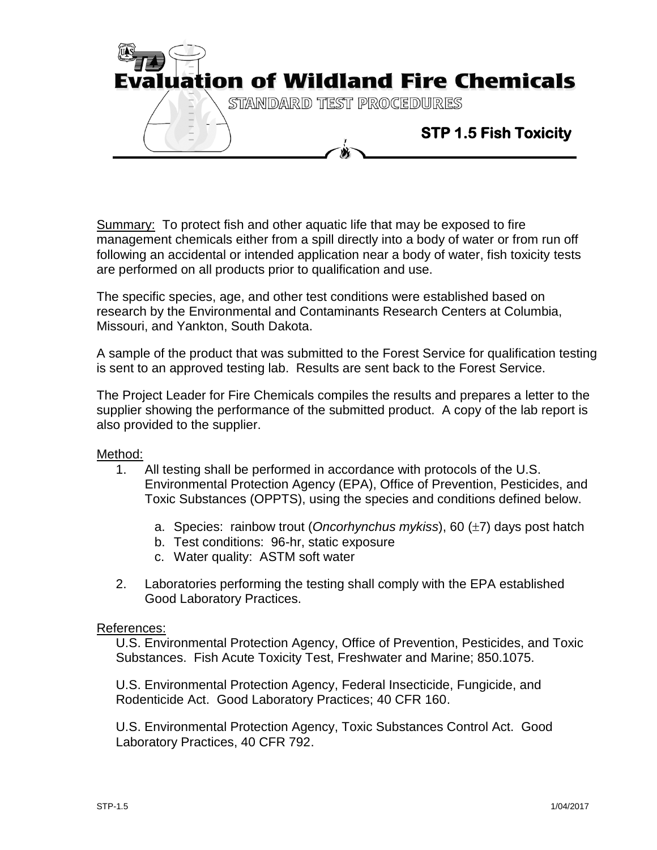

Summary: To protect fish and other aquatic life that may be exposed to fire management chemicals either from a spill directly into a body of water or from run off following an accidental or intended application near a body of water, fish toxicity tests are performed on all products prior to qualification and use.

The specific species, age, and other test conditions were established based on research by the Environmental and Contaminants Research Centers at Columbia, Missouri, and Yankton, South Dakota.

A sample of the product that was submitted to the Forest Service for qualification testing is sent to an approved testing lab. Results are sent back to the Forest Service.

The Project Leader for Fire Chemicals compiles the results and prepares a letter to the supplier showing the performance of the submitted product. A copy of the lab report is also provided to the supplier.

Method:

- 1. All testing shall be performed in accordance with protocols of the U.S. Environmental Protection Agency (EPA), Office of Prevention, Pesticides, and Toxic Substances (OPPTS), using the species and conditions defined below.
	- a. Species: rainbow trout (*Oncorhynchus mykiss*), 60 (±7) days post hatch
	- b. Test conditions: 96-hr, static exposure
	- c. Water quality: ASTM soft water
- 2. Laboratories performing the testing shall comply with the EPA established Good Laboratory Practices.

## References:

U.S. Environmental Protection Agency, Office of Prevention, Pesticides, and Toxic Substances. Fish Acute Toxicity Test, Freshwater and Marine; 850.1075.

U.S. Environmental Protection Agency, Federal Insecticide, Fungicide, and Rodenticide Act. Good Laboratory Practices; 40 CFR 160.

U.S. Environmental Protection Agency, Toxic Substances Control Act. Good Laboratory Practices, 40 CFR 792.